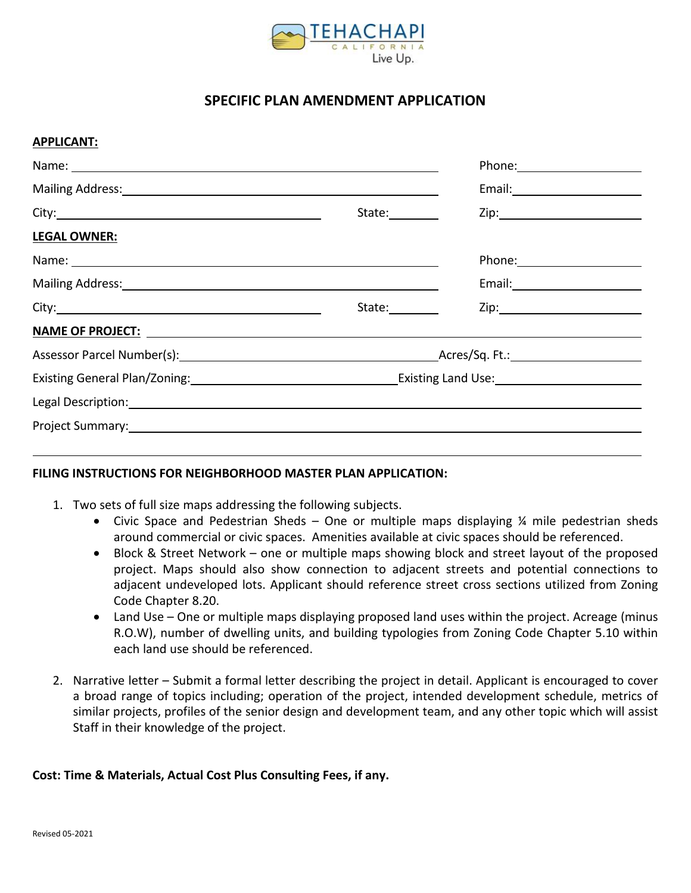

## **SPECIFIC PLAN AMENDMENT APPLICATION**

## **APPLICANT:**

| Mailing Address: Mail and Mail and Mail and Mail and Mail and Mail and Mail and Mail and Mail and Mail and Mail                                                                                                                     |                |  |  |
|-------------------------------------------------------------------------------------------------------------------------------------------------------------------------------------------------------------------------------------|----------------|--|--|
|                                                                                                                                                                                                                                     | State:________ |  |  |
| <b>LEGAL OWNER:</b>                                                                                                                                                                                                                 |                |  |  |
|                                                                                                                                                                                                                                     |                |  |  |
| Mailing Address: National Accounts and Accounts and Accounts and Accounts and Accounts and Accounts and Accounts and Accounts and Accounts and Accounts and Accounts and Accounts and Accounts and Accounts and Accounts and A      |                |  |  |
|                                                                                                                                                                                                                                     | State:         |  |  |
| <u>NAME OF PROJECT:</u> And the second second second second second second second second second second second second second second second second second second second second second second second second second second second second |                |  |  |
|                                                                                                                                                                                                                                     |                |  |  |
| Existing General Plan/Zoning: 1990 1990 1991 1992 2010 1991 2010 1991 2010 1991 2010 1991 2010 1991 2010 1991 2                                                                                                                     |                |  |  |
| Legal Description: Legal Description: Legal Description: Legal Description: Legal Description:                                                                                                                                      |                |  |  |
| Project Summary: No. 2014 1997 - Alexander Management Communication of the Communication of the Communication                                                                                                                       |                |  |  |
|                                                                                                                                                                                                                                     |                |  |  |

## **FILING INSTRUCTIONS FOR NEIGHBORHOOD MASTER PLAN APPLICATION:**

- 1. Two sets of full size maps addressing the following subjects.
	- Civic Space and Pedestrian Sheds One or multiple maps displaying  $\frac{1}{4}$  mile pedestrian sheds around commercial or civic spaces. Amenities available at civic spaces should be referenced.
	- Block & Street Network one or multiple maps showing block and street layout of the proposed project. Maps should also show connection to adjacent streets and potential connections to adjacent undeveloped lots. Applicant should reference street cross sections utilized from Zoning Code Chapter 8.20.
	- Land Use One or multiple maps displaying proposed land uses within the project. Acreage (minus R.O.W), number of dwelling units, and building typologies from Zoning Code Chapter 5.10 within each land use should be referenced.
- 2. Narrative letter Submit a formal letter describing the project in detail. Applicant is encouraged to cover a broad range of topics including; operation of the project, intended development schedule, metrics of similar projects, profiles of the senior design and development team, and any other topic which will assist Staff in their knowledge of the project.

## **Cost: Time & Materials, Actual Cost Plus Consulting Fees, if any.**